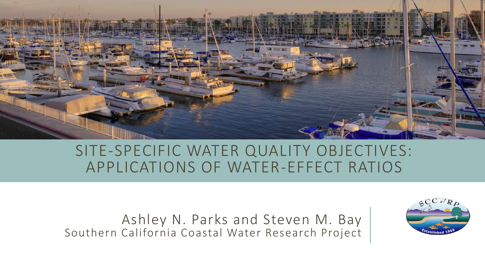

#### SITE-SPECIFIC WATER QUALITY OBJECTIVES: APPLICATIONS OF WATER-EFFECT RATIOS

Ashley N. Parks and Steven M. Bay Southern California Coastal Water Research Project

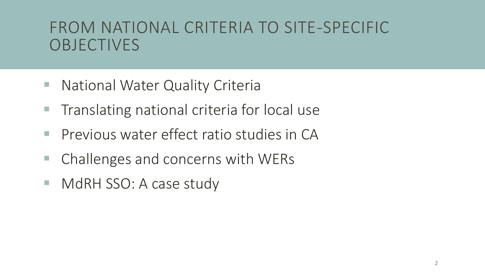### FROM NATIONAL CRITERIA TO SITE-SPECIFIC **OBJECTIVES**

- National Water Quality Criteria
- **The Translating national criteria for local use**
- **Previous water effect ratio studies in CA**
- Challenges and concerns with WERs
- MdRH SSO: A case study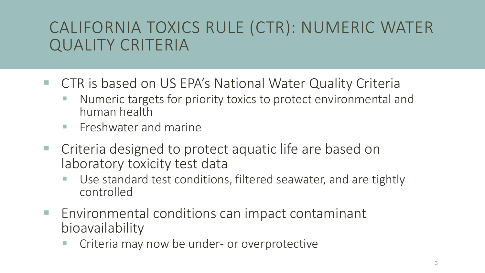# CALIFORNIA TOXICS RULE (CTR): NUMERIC WATER QUALITY CRITERIA

- CTR is based on US EPA's National Water Quality Criteria
	- Numeric targets for priority toxics to protect environmental and human health
	- **Exercise Freshwater and marine**
- Criteria designed to protect aquatic life are based on laboratory toxicity test data
	- Use standard test conditions, filtered seawater, and are tightly controlled
- Environmental conditions can impact contaminant bioavailability
	- Criteria may now be under- or overprotective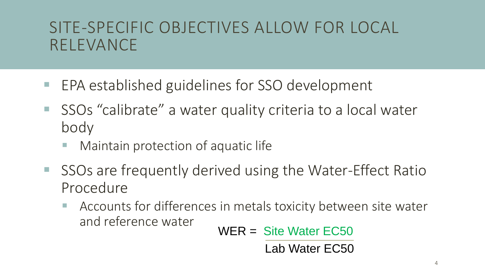## SITE-SPECIFIC OBJECTIVES ALLOW FOR LOCAL RELEVANCE

- EPA established guidelines for SSO development
- SSOs "calibrate" a water quality criteria to a local water body
	- Maintain protection of aquatic life
- SSOs are frequently derived using the Water-Effect Ratio Procedure
	- Accounts for differences in metals toxicity between site water and reference water

WER = Site Water EC50

Lab Water EC50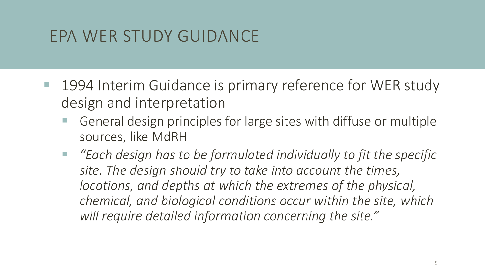# EPA WER STUDY GUIDANCE

- 1994 Interim Guidance is primary reference for WER study design and interpretation
	- General design principles for large sites with diffuse or multiple sources, like MdRH
	- *"Each design has to be formulated individually to fit the specific site. The design should try to take into account the times, locations, and depths at which the extremes of the physical, chemical, and biological conditions occur within the site, which will require detailed information concerning the site."*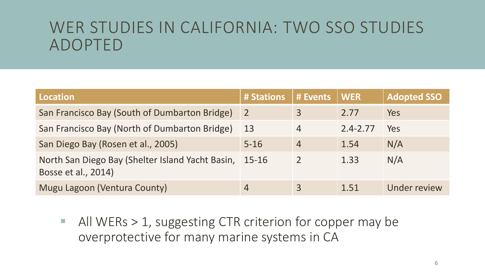### WER STUDIES IN CALIFORNIA: TWO SSO STUDIES ADOPTED

| <b>Location</b>                                                         | # Stations     | # Events       | <b>WER</b>   | <b>Adopted SSO</b> |
|-------------------------------------------------------------------------|----------------|----------------|--------------|--------------------|
| San Francisco Bay (South of Dumbarton Bridge)                           | $\overline{2}$ | 3              | 2.77         | Yes                |
| San Francisco Bay (North of Dumbarton Bridge)                           | 13             | 4              | $2.4 - 2.77$ | Yes                |
| San Diego Bay (Rosen et al., 2005)                                      | $5 - 16$       | $\overline{4}$ | 1.54         | N/A                |
| North San Diego Bay (Shelter Island Yacht Basin,<br>Bosse et al., 2014) | 15-16          |                | 1.33         | N/A                |
| Mugu Lagoon (Ventura County)                                            | 4              |                | 1.51         | Under review       |

■ All WERs > 1, suggesting CTR criterion for copper may be overprotective for many marine systems in CA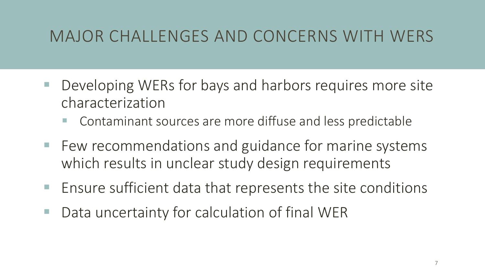# MAJOR CHALLENGES AND CONCERNS WITH WERS

- Developing WERs for bays and harbors requires more site characterization
	- Contaminant sources are more diffuse and less predictable
- Few recommendations and guidance for marine systems which results in unclear study design requirements
- Ensure sufficient data that represents the site conditions
- Data uncertainty for calculation of final WER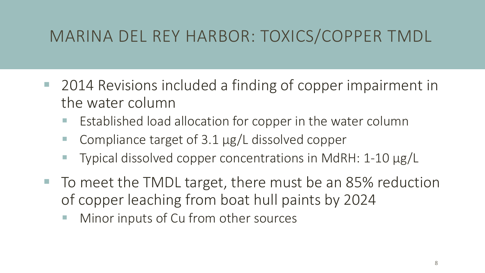# MARINA DEL REY HARBOR: TOXICS/COPPER TMDL

- 2014 Revisions included a finding of copper impairment in the water column
	- Established load allocation for copper in the water column
	- Compliance target of 3.1 µg/L dissolved copper
	- Typical dissolved copper concentrations in MdRH: 1-10 µg/L
- To meet the TMDL target, there must be an 85% reduction of copper leaching from boat hull paints by 2024
	- Minor inputs of Cu from other sources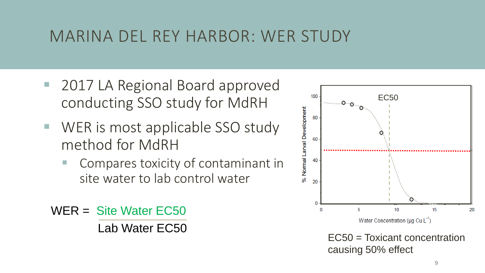### MARINA DEL REY HARBOR: WER STUDY

- 2017 LA Regional Board approved conducting SSO study for MdRH
- WER is most applicable SSO study method for MdRH
	- Compares toxicity of contaminant in site water to lab control water

WER = Site Water EC50 Lab Water EC50



EC50 = Toxicant concentration causing 50% effect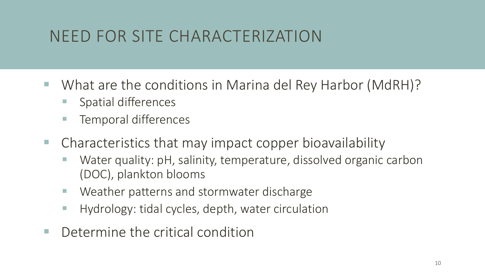# NEED FOR SITE CHARACTERIZATION

- What are the conditions in Marina del Rey Harbor (MdRH)?
	- Spatial differences
	- Temporal differences
- Characteristics that may impact copper bioavailability
	- Water quality: pH, salinity, temperature, dissolved organic carbon (DOC), plankton blooms
	- Weather patterns and stormwater discharge
	- Hydrology: tidal cycles, depth, water circulation
- $\blacksquare$  Determine the critical condition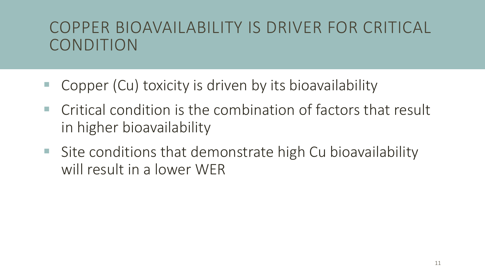## COPPER BIOAVAILABILITY IS DRIVER FOR CRITICAL CONDITION

- Copper (Cu) toxicity is driven by its bioavailability
- Critical condition is the combination of factors that result in higher bioavailability
- Site conditions that demonstrate high Cu bioavailability will result in a lower WER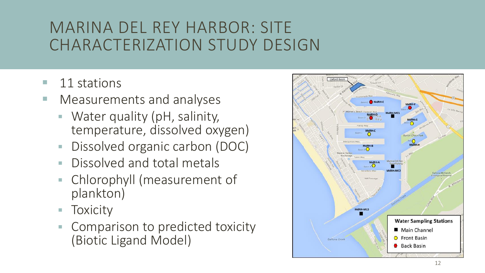## MARINA DEL REY HARBOR: SITE CHARACTERIZATION STUDY DESIGN

- 11 stations
- Measurements and analyses
	- Water quality (pH, salinity, temperature, dissolved oxygen)
	- Dissolved organic carbon (DOC)
	- Dissolved and total metals
	- Chlorophyll (measurement of plankton)
	- Toxicity
	- Comparison to predicted toxicity (Biotic Ligand Model)

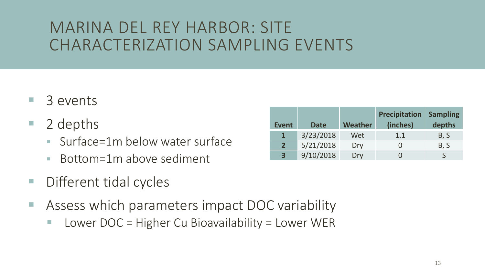### MARINA DEL REY HARBOR: SITE CHARACTERIZATION SAMPLING EVENTS

- 3 events
- 2 depths
	- Surface=1m below water surface
	- Bottom=1m above sediment
- Different tidal cycles
- Assess which parameters impact DOC variability
	- $\blacksquare$  Lower DOC = Higher Cu Bioavailability = Lower WER

| <b>Event</b>            | <b>Date</b> | <b>Weather</b> | <b>Precipitation</b><br>(inches) | <b>Sampling</b><br>depths |
|-------------------------|-------------|----------------|----------------------------------|---------------------------|
|                         | 3/23/2018   | Wet            | 1.1                              | B, S                      |
| 2 <sup>1</sup>          | 5/21/2018   | Dry            |                                  | B, S                      |
| $\overline{\mathbf{3}}$ | 9/10/2018   | Dry            |                                  |                           |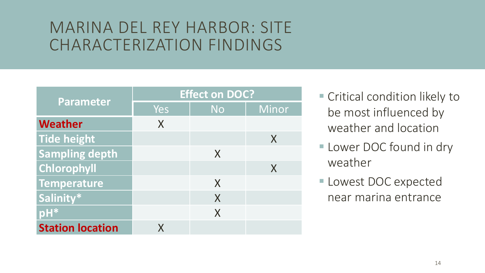#### MARINA DEL REY HARBOR: SITE CHARACTERIZATION FINDINGS

|                         | <b>Effect on DOC?</b> |           |       |  |
|-------------------------|-----------------------|-----------|-------|--|
| <b>Parameter</b>        | Yes                   | <b>No</b> | Minor |  |
| Weather                 | X                     |           |       |  |
| Tide height             |                       |           | X     |  |
| <b>Sampling depth</b>   |                       | X         |       |  |
| Chlorophyll             |                       |           | X     |  |
| Temperature             |                       | X         |       |  |
| Salinity*               |                       | X         |       |  |
| pH*                     |                       | X         |       |  |
| <b>Station location</b> |                       |           |       |  |

- Critical condition likely to be most influenced by weather and location
- **Lower DOC found in dry** weather
- **Lowest DOC expected** near marina entrance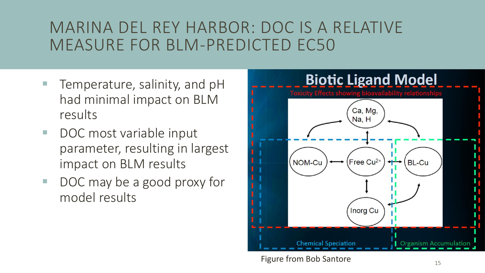### MARINA DEL REY HARBOR: DOC IS A RELATIVE MEASURE FOR BLM-PREDICTED EC50

- Temperature, salinity, and pH had minimal impact on BLM results
- DOC most variable input parameter, resulting in largest impact on BLM results
- DOC may be a good proxy for model results



Figure from Bob Santore and the state of the state of the state of the state of the state of the state of the state of the state of the state of the state of the state of the state of the state of the state of the state of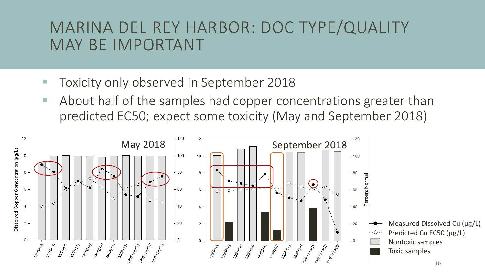#### MARINA DEL REY HARBOR: DOC TYPE/QUALITY MAY BE IMPORTANT

- Toxicity only observed in September 2018
- About half of the samples had copper concentrations greater than predicted EC50; expect some toxicity (May and September 2018)

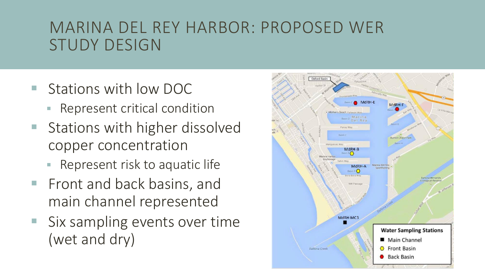#### MARINA DEL REY HARBOR: PROPOSED WER STUDY DESIGN

- Stations with low DOC
	- Represent critical condition
- Stations with higher dissolved copper concentration
	- Represent risk to aquatic life
- **Fightana back basins, and Fightana** main channel represented
- Six sampling events over time (wet and dry)

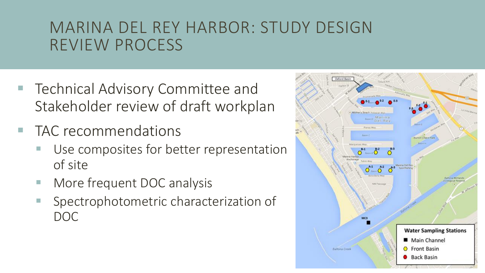### MARINA DEL REY HARBOR: STUDY DESIGN REVIEW PROCESS

- Technical Advisory Committee and Stakeholder review of draft workplan
- TAC recommendations
	- Use composites for better representation of site
	- More frequent DOC analysis
	- Spectrophotometric characterization of DOC

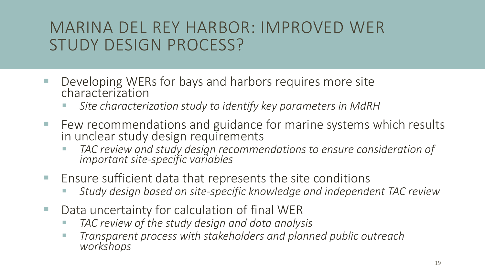### MARINA DEL REY HARBOR: IMPROVED WER STUDY DESIGN PROCESS?

- Developing WERs for bays and harbors requires more site characterization
	- Site characterization study to identify key parameters in MdRH
- Few recommendations and guidance for marine systems which results in unclear study design requirements
	- TAC review and study design recommendations to ensure consideration of *important site-specific variables*
- Ensure sufficient data that represents the site conditions
	- Study design based on site-specific knowledge and independent TAC review
- Data uncertainty for calculation of final WER
	- TAC review of the study design and data analysis
	- *Transparent process with stakeholders and planned public outreach workshops*